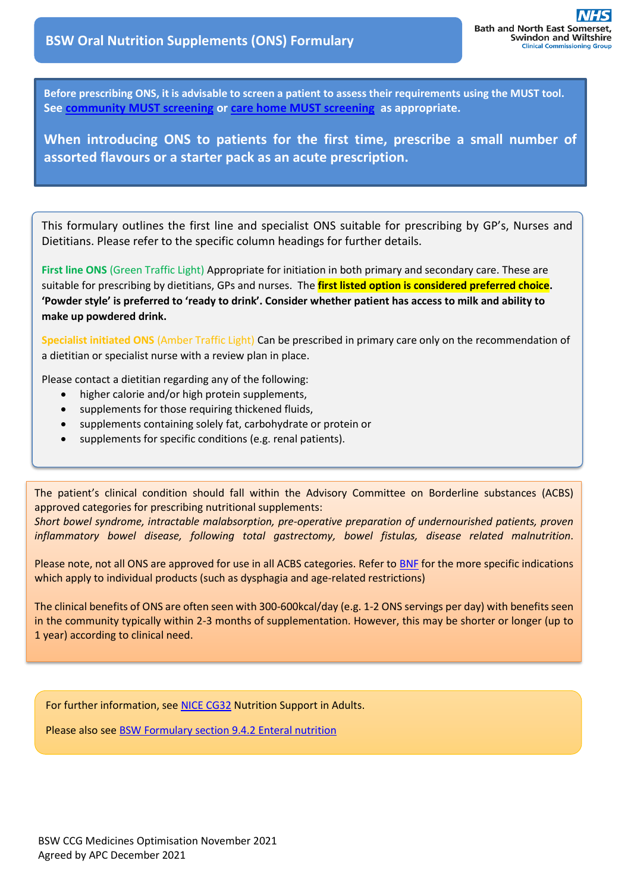**Before prescribing ONS, it is advisable to screen a patient to assess their requirements using the MUST tool. See [community MUST screening](https://prescribing.wiltshireccg.nhs.uk/?wpdmdl=5804) or [care home MUST screening](https://prescribing.wiltshireccg.nhs.uk/?wpdmdl=5803) as appropriate.**

**When introducing ONS to patients for the first time, prescribe a small number of assorted flavours or a starter pack as an acute prescription.**

This formulary outlines the first line and specialist ONS suitable for prescribing by GP's, Nurses and Dietitians. Please refer to the specific column headings for further details.

**First line ONS** (Green Traffic Light) Appropriate for initiation in both primary and secondary care. These are suitable for prescribing by dietitians, GPs and nurses. The **first listed option is considered preferred choice. 'Powder style' is preferred to 'ready to drink'. Consider whether patient has access to milk and ability to make up powdered drink.**

**Specialist initiated ONS** (Amber Traffic Light) Can be prescribed in primary care only on the recommendation of a dietitian or specialist nurse with a review plan in place.

Please contact a dietitian regarding any of the following:

֦

- higher calorie and/or high protein supplements,
- supplements for those requiring thickened fluids,
- supplements containing solely fat, carbohydrate or protein or
- supplements for specific conditions (e.g. renal patients).

The patient's clinical condition should fall within the Advisory Committee on Borderline substances (ACBS) approved categories for prescribing nutritional supplements:

*Short bowel syndrome, intractable malabsorption, pre-operative preparation of undernourished patients, proven inflammatory bowel disease, following total gastrectomy, bowel fistulas, disease related malnutrition*.

Please note, not all ONS are approved for use in all ACBS categories. Refer to [BNF](https://bnf.nice.org.uk/borderline-substance-taxonomy/) for the more specific indications which apply to individual products (such as dysphagia and age-related restrictions)

The clinical benefits of ONS are often seen with 300-600kcal/day (e.g. 1-2 ONS servings per day) with benefits seen in the community typically within 2-3 months of supplementation. However, this may be shorter or longer (up to 1 year) according to clinical need.

For further information, see [NICE CG32](https://www.nice.org.uk/guidance/cg32) Nutrition Support in Adults.

Please also see BSW Formulary [section 9.4.2 Enteral nutrition](http://bswformulary.nhs.uk/chaptersSubDetails.asp?FormularySectionID=9&SubSectionRef=09.04.02&SubSectionID=A100)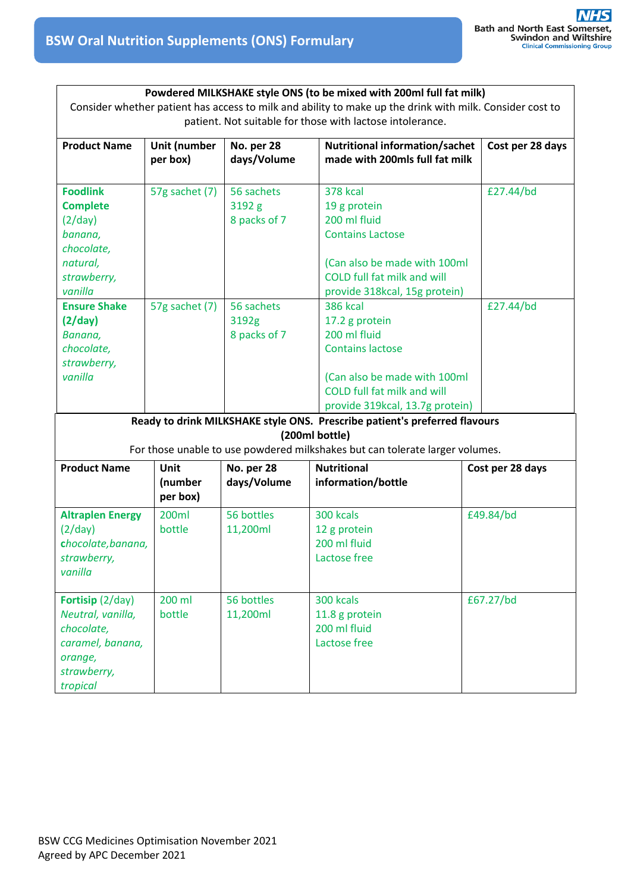| Powdered MILKSHAKE style ONS (to be mixed with 200ml full fat milk)<br>Consider whether patient has access to milk and ability to make up the drink with milk. Consider cost to<br>patient. Not suitable for those with lactose intolerance. |                                    |                                      |                                                                                                                                                                                       |  |                  |  |
|----------------------------------------------------------------------------------------------------------------------------------------------------------------------------------------------------------------------------------------------|------------------------------------|--------------------------------------|---------------------------------------------------------------------------------------------------------------------------------------------------------------------------------------|--|------------------|--|
| <b>Product Name</b>                                                                                                                                                                                                                          | Unit (number<br>per box)           | No. per 28<br>days/Volume            | <b>Nutritional information/sachet</b><br>made with 200mls full fat milk                                                                                                               |  | Cost per 28 days |  |
| <b>Foodlink</b><br><b>Complete</b><br>(2/day)<br>banana,<br>chocolate,<br>natural,<br>strawberry,<br>vanilla                                                                                                                                 | 57g sachet (7)                     | 56 sachets<br>3192 g<br>8 packs of 7 | <b>378 kcal</b><br>19 g protein<br>200 ml fluid<br><b>Contains Lactose</b><br>(Can also be made with 100ml<br>COLD full fat milk and will<br>provide 318kcal, 15g protein)            |  | £27.44/bd        |  |
| <b>Ensure Shake</b><br>(2/day)<br>Banana,<br>chocolate,<br>strawberry,<br>vanilla                                                                                                                                                            | 57g sachet (7)                     | 56 sachets<br>3192g<br>8 packs of 7  | <b>386 kcal</b><br>17.2 g protein<br>200 ml fluid<br><b>Contains lactose</b><br>(Can also be made with 100ml<br><b>COLD full fat milk and will</b><br>provide 319kcal, 13.7g protein) |  | £27.44/bd        |  |
|                                                                                                                                                                                                                                              |                                    |                                      | Ready to drink MILKSHAKE style ONS. Prescribe patient's preferred flavours<br>(200ml bottle)<br>For those unable to use powdered milkshakes but can tolerate larger volumes.          |  |                  |  |
| <b>Product Name</b>                                                                                                                                                                                                                          | <b>Unit</b><br>(number<br>per box) | No. per 28<br>days/Volume            | <b>Nutritional</b><br>information/bottle                                                                                                                                              |  | Cost per 28 days |  |
| <b>Altraplen Energy</b><br>(2/day)<br>chocolate, banana,<br>strawberry,<br>vanilla                                                                                                                                                           | 200ml<br>bottle                    | 56 bottles<br>11,200ml               | 300 kcals<br>12 g protein<br>200 ml fluid<br>Lactose free                                                                                                                             |  | £49.84/bd        |  |
| Fortisip (2/day)<br>Neutral, vanilla,<br>chocolate,<br>caramel, banana,<br>orange,<br>strawberry,<br>tropical                                                                                                                                | 200 ml<br>bottle                   | 56 bottles<br>11,200ml               | 300 kcals<br>11.8 g protein<br>200 ml fluid<br>Lactose free                                                                                                                           |  | £67.27/bd        |  |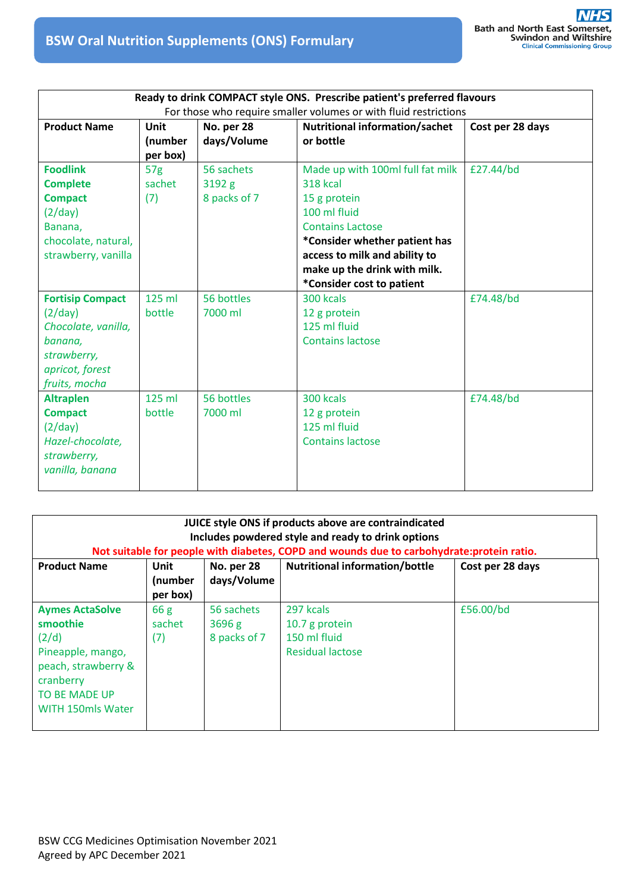| Ready to drink COMPACT style ONS. Prescribe patient's preferred flavours                                                |                    |                       |                                                                      |                  |  |  |
|-------------------------------------------------------------------------------------------------------------------------|--------------------|-----------------------|----------------------------------------------------------------------|------------------|--|--|
| For those who require smaller volumes or with fluid restrictions                                                        |                    |                       |                                                                      |                  |  |  |
| <b>Product Name</b>                                                                                                     | Unit<br>No. per 28 |                       | <b>Nutritional information/sachet</b>                                | Cost per 28 days |  |  |
|                                                                                                                         | (number            | days/Volume           | or bottle                                                            |                  |  |  |
|                                                                                                                         | per box)           |                       |                                                                      |                  |  |  |
| <b>Foodlink</b>                                                                                                         | 57 <sub>g</sub>    | 56 sachets            | Made up with 100ml full fat milk                                     | £27.44/bd        |  |  |
| <b>Complete</b>                                                                                                         | sachet             | 3192 g                | <b>318 kcal</b>                                                      |                  |  |  |
| <b>Compact</b>                                                                                                          | (7)                | 8 packs of 7          | 15 g protein                                                         |                  |  |  |
| (2/day)                                                                                                                 |                    |                       | 100 ml fluid                                                         |                  |  |  |
| Banana,                                                                                                                 |                    |                       | <b>Contains Lactose</b>                                              |                  |  |  |
| chocolate, natural,                                                                                                     |                    |                       | *Consider whether patient has                                        |                  |  |  |
| strawberry, vanilla                                                                                                     |                    |                       | access to milk and ability to                                        |                  |  |  |
|                                                                                                                         |                    |                       | make up the drink with milk.                                         |                  |  |  |
|                                                                                                                         |                    |                       | *Consider cost to patient                                            |                  |  |  |
| <b>Fortisip Compact</b><br>(2/day)<br>Chocolate, vanilla,<br>banana,<br>strawberry,<br>apricot, forest<br>fruits, mocha | 125 ml<br>bottle   | 56 bottles<br>7000 ml | 300 kcals<br>12 g protein<br>125 ml fluid<br><b>Contains lactose</b> | £74.48/bd        |  |  |
| <b>Altraplen</b><br><b>Compact</b><br>(2/day)<br>Hazel-chocolate,<br>strawberry,<br>vanilla, banana                     | $125$ ml<br>bottle | 56 bottles<br>7000 ml | 300 kcals<br>12 g protein<br>125 ml fluid<br><b>Contains lactose</b> | £74.48/bd        |  |  |

| JUICE style ONS if products above are contraindicated<br>Includes powdered style and ready to drink options<br>Not suitable for people with diabetes, COPD and wounds due to carbohydrate: protein ratio. |                                    |                                      |                                                                        |                  |  |
|-----------------------------------------------------------------------------------------------------------------------------------------------------------------------------------------------------------|------------------------------------|--------------------------------------|------------------------------------------------------------------------|------------------|--|
| <b>Product Name</b>                                                                                                                                                                                       | <b>Unit</b><br>(number<br>per box) | No. per 28<br>days/Volume            | <b>Nutritional information/bottle</b>                                  | Cost per 28 days |  |
| <b>Aymes ActaSolve</b><br>smoothie<br>(2/d)<br>Pineapple, mango,<br>peach, strawberry &<br>cranberry<br><b>TO BE MADE UP</b><br><b>WITH 150mls Water</b>                                                  | 66g<br>sachet<br>(7)               | 56 sachets<br>3696 g<br>8 packs of 7 | 297 kcals<br>10.7 g protein<br>150 ml fluid<br><b>Residual lactose</b> | £56.00/bd        |  |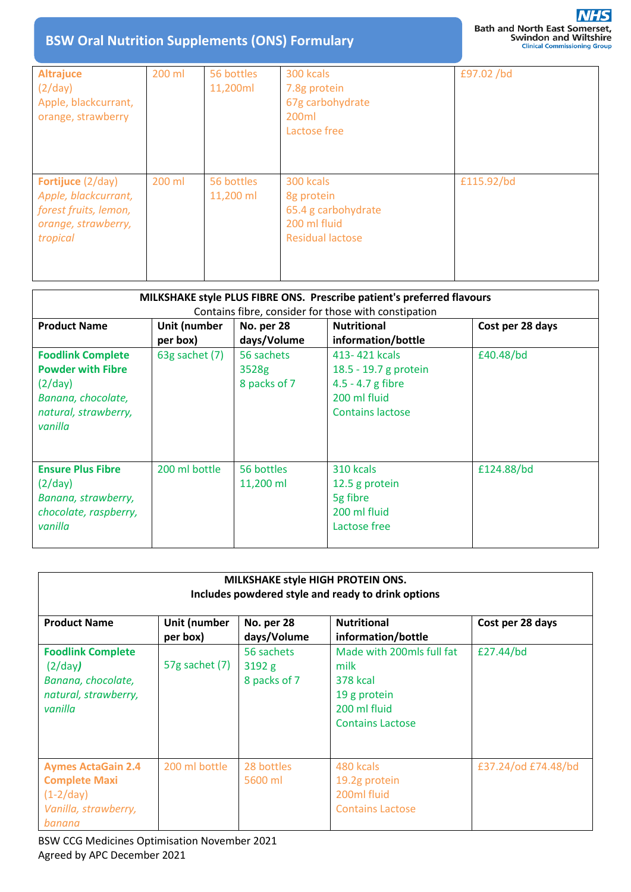| <b>Altrajuce</b><br>(2/day)<br>Apple, blackcurrant,<br>orange, strawberry                                    | 200 ml | 56 bottles<br>11,200ml  | 300 kcals<br>7.8g protein<br>67g carbohydrate<br>200 <sub>ml</sub><br>Lactose free | £97.02/bd  |
|--------------------------------------------------------------------------------------------------------------|--------|-------------------------|------------------------------------------------------------------------------------|------------|
| <b>Fortijuce</b> (2/day)<br>Apple, blackcurrant,<br>forest fruits, lemon,<br>orange, strawberry,<br>tropical | 200 ml | 56 bottles<br>11,200 ml | 300 kcals<br>8g protein<br>65.4 g carbohydrate<br>200 ml fluid<br>Residual lactose | £115.92/bd |

| MILKSHAKE style PLUS FIBRE ONS. Prescribe patient's preferred flavours<br>Contains fibre, consider for those with constipation |                          |                                     |                                                                                                          |                  |  |  |
|--------------------------------------------------------------------------------------------------------------------------------|--------------------------|-------------------------------------|----------------------------------------------------------------------------------------------------------|------------------|--|--|
| <b>Product Name</b>                                                                                                            | Unit (number<br>per box) | <b>No. per 28</b><br>days/Volume    | <b>Nutritional</b><br>information/bottle                                                                 | Cost per 28 days |  |  |
| <b>Foodlink Complete</b><br><b>Powder with Fibre</b><br>(2/day)<br>Banana, chocolate,<br>natural, strawberry,<br>vanilla       | 63g sachet $(7)$         | 56 sachets<br>3528g<br>8 packs of 7 | 413-421 kcals<br>18.5 - 19.7 g protein<br>$4.5 - 4.7$ g fibre<br>200 ml fluid<br><b>Contains lactose</b> | £40.48/bd        |  |  |
| <b>Ensure Plus Fibre</b><br>(2/day)<br>Banana, strawberry,<br>chocolate, raspberry,<br>vanilla                                 | 200 ml bottle            | 56 bottles<br>11,200 ml             | 310 kcals<br>12.5 g protein<br>5g fibre<br>200 ml fluid<br>Lactose free                                  | £124.88/bd       |  |  |

| MILKSHAKE style HIGH PROTEIN ONS.<br>Includes powdered style and ready to drink options            |                          |                                     |                                                                                                                 |                     |  |  |
|----------------------------------------------------------------------------------------------------|--------------------------|-------------------------------------|-----------------------------------------------------------------------------------------------------------------|---------------------|--|--|
| <b>Product Name</b>                                                                                | Unit (number<br>per box) | No. per 28<br>days/Volume           | <b>Nutritional</b><br>information/bottle                                                                        | Cost per 28 days    |  |  |
| <b>Foodlink Complete</b><br>(2/day)<br>Banana, chocolate,<br>natural, strawberry,<br>vanilla       | 57g sachet (7)           | 56 sachets<br>3192g<br>8 packs of 7 | Made with 200mls full fat<br>milk<br><b>378 kcal</b><br>19 g protein<br>200 ml fluid<br><b>Contains Lactose</b> | £27.44/bd           |  |  |
| <b>Aymes ActaGain 2.4</b><br><b>Complete Maxi</b><br>$(1-2/day)$<br>Vanilla, strawberry,<br>banana | 200 ml bottle            | 28 bottles<br>5600 ml               | 480 kcals<br>19.2g protein<br>200ml fluid<br><b>Contains Lactose</b>                                            | £37.24/od £74.48/bd |  |  |

BSW CCG Medicines Optimisation November 2021 Agreed by APC December 2021